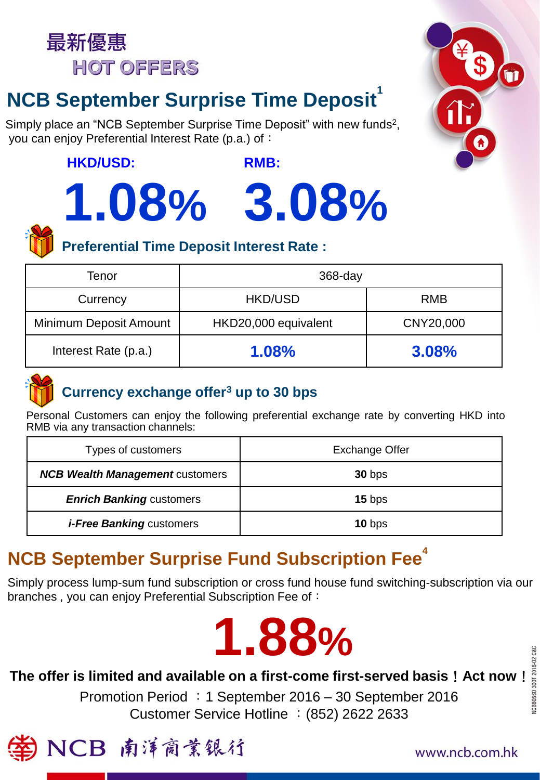

# **NCB September Surprise Time Deposit**

Simply place an "NCB September Surprise Time Deposit" with new funds<sup>2</sup>, you can enjoy Preferential Interest Rate (p.a.) of:

## **HKD/USD:**

# **1.08% 3.08%**





# **Preferential Time Deposit Interest Rate :**

| Tenor                  | $368 - day$          |            |
|------------------------|----------------------|------------|
| Currency               | <b>HKD/USD</b>       | <b>RMB</b> |
| Minimum Deposit Amount | HKD20,000 equivalent | CNY20,000  |
| Interest Rate (p.a.)   | <b>1.08%</b>         | 3.08%      |



# **Currency exchange offer<sup>3</sup> up to 30 bps**

Personal Customers can enjoy the following preferential exchange rate by converting HKD into RMB via any transaction channels:

| Types of customers                     | <b>Exchange Offer</b> |  |
|----------------------------------------|-----------------------|--|
| <b>NCB Wealth Management customers</b> | $30$ bps              |  |
| <b>Enrich Banking customers</b>        | $15$ bps              |  |
| <i>i-Free Banking customers</i>        | $10$ bps              |  |

# **NCB September Surprise Fund Subscription Fee**<sup>4</sup>

Simply process lump-sum fund subscription or cross fund house fund switching-subscription via our branches, you can enjoy Preferential Subscription Fee of:



The offer is limited and available on a first-come first-served basis ! Act now ! Customer Service Hotline : (852) 2622 2633 Promotion Period :1 September 2016 – 30 September 2016



www.ncb.com.hk